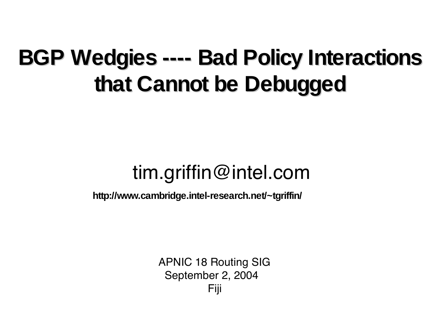#### **BGP Wedgies ---- Bad Policy Interactions that Cannot be Debugged**

#### tim.griffin@intel.com

**http://www.cambridge.intel-research.net/~tgriffin/**

APNIC 18 Routing SIG September 2, 2004 Fiji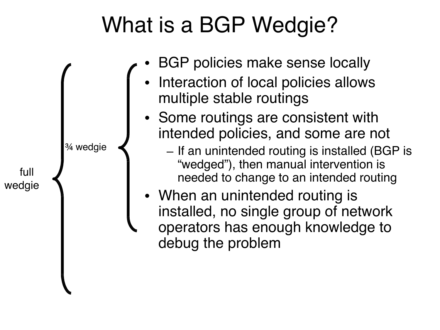## What is a BGP Wedgie?

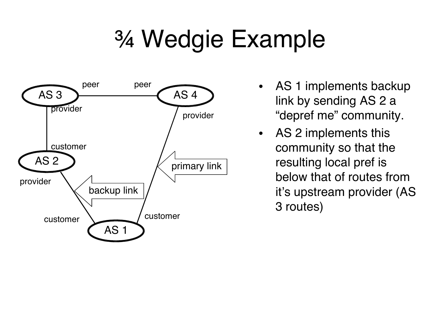# ¾ Wedgie Example



- AS 1 implements backup link by sending AS 2 a "depref me" community.
- AS 2 implements this community so that the resulting local pref is below that of routes from it's upstream provider (AS 3 routes)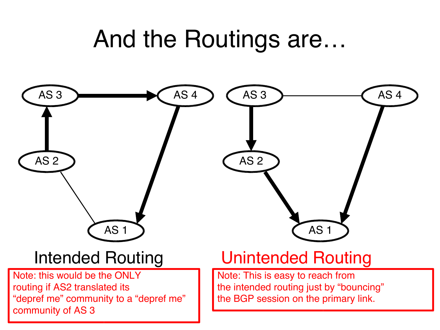## And the Routings are…

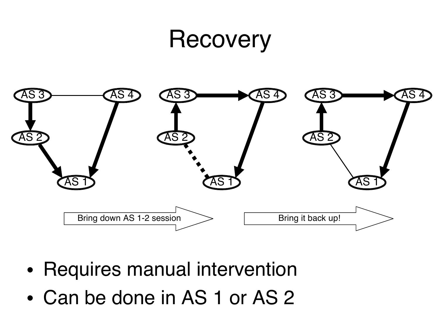#### Recovery



- Requires manual intervention
- Can be done in AS 1 or AS 2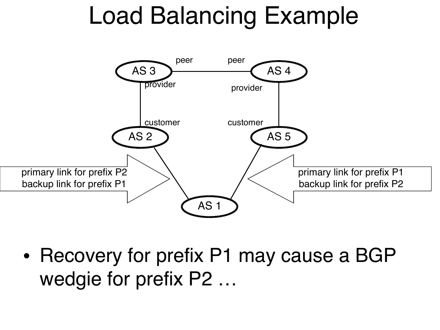## Load Balancing Example



• Recovery for prefix P1 may cause a BGP wedgie for prefix P2 …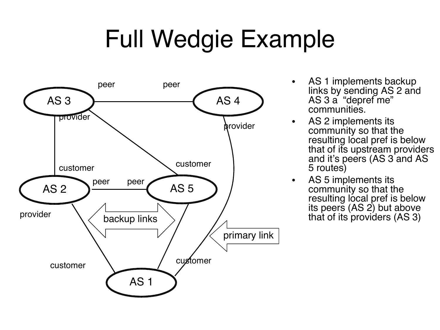# Full Wedgie Example



- AS 1 implements backup links by sending AS 2 and AS 3 a "depref me" communities.
- AS 2 implements its community so that the resulting local pref is below that of its upstream providers and it's peers (AS 3 and AS 5 routes)
- AS 5 implements its community so that the resulting local pref is below its peers (AS 2) but above that of its providers (AS 3)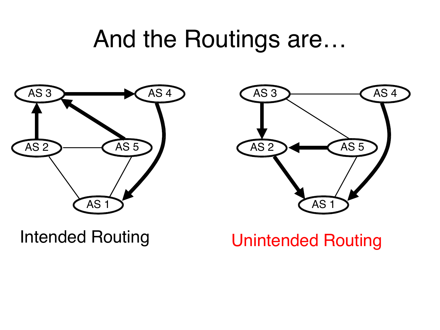## And the Routings are…





#### Intended Routing **Unintended Routing**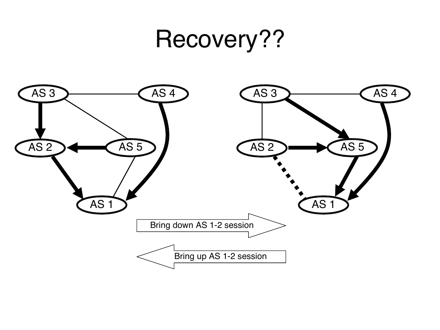#### Recovery??

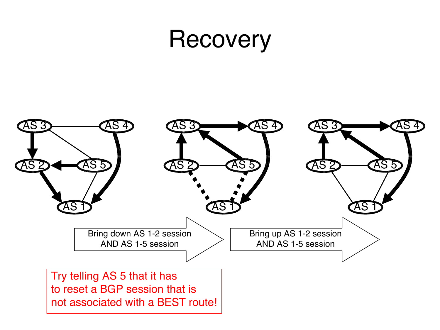#### **Recovery**

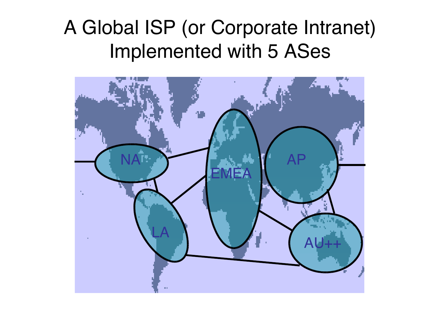#### A Global ISP (or Corporate Intranet) Implemented with 5 ASes

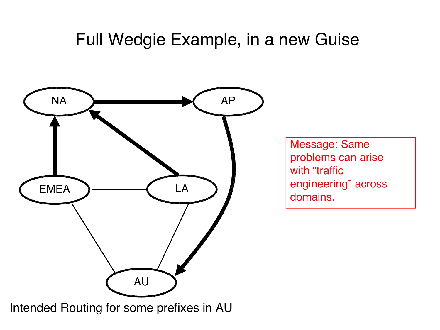#### Full Wedgie Example, in a new Guise



Intended Routing for some prefixes in AU

Message: Same problems can arise with "traffic engineering" across domains.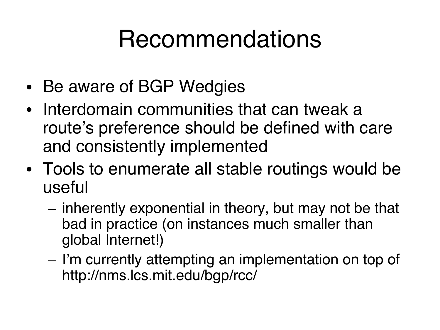## Recommendations

- Be aware of BGP Wedgies
- Interdomain communities that can tweak a route's preference should be defined with care and consistently implemented
- Tools to enumerate all stable routings would be useful
	- inherently exponential in theory, but may not be that bad in practice (on instances much smaller than global Internet!)
	- I'm currently attempting an implementation on top of http://nms.lcs.mit.edu/bgp/rcc/